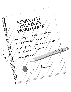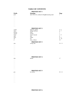# **TABLE OF CONTENTS**

#### **PREFIXES SET 1**

|                                     | I REFIAES SET T                                   |                  |
|-------------------------------------|---------------------------------------------------|------------------|
| <b>Prefix</b>                       | <b>Meaning</b>                                    | Page             |
| post-                               | after (Not to be confused with post meaning mail) | 1                |
| $\cdots$                            |                                                   |                  |
| $\ddotsc$                           |                                                   |                  |
|                                     |                                                   |                  |
| $\ddotsc$                           |                                                   |                  |
|                                     |                                                   |                  |
| $\ddotsc$                           |                                                   |                  |
| .                                   |                                                   |                  |
|                                     |                                                   |                  |
| .                                   |                                                   |                  |
|                                     |                                                   |                  |
|                                     | <b>PREFIXES SET 2</b>                             |                  |
| contra-                             | opposite, against                                 | $5 - 6$          |
| inter-                              | among, between                                    | $6 - 7$          |
| psycho-                             | mind                                              | $\tau$           |
| circum-                             | around                                            | $\boldsymbol{7}$ |
| trans-                              | across, beyond                                    | $7 - 8$          |
| auto-                               | self                                              | 8                |
| intra-                              | within                                            | $8 - 9$          |
| un-                                 | not                                               | $9 - 10$         |
| a-                                  | away, without                                     | 10               |
|                                     |                                                   |                  |
|                                     | <b>PREFIXES SET 3</b>                             |                  |
| mis-                                | wrong, bad                                        | $10 - 11$        |
| $\cdots$                            |                                                   |                  |
| .                                   |                                                   |                  |
|                                     |                                                   |                  |
|                                     |                                                   |                  |
| $\cdots$                            |                                                   |                  |
|                                     |                                                   |                  |
|                                     |                                                   |                  |
|                                     |                                                   |                  |
| .                                   |                                                   |                  |
| .                                   |                                                   |                  |
|                                     | <b>PREFIXES SET 4</b>                             |                  |
| tele-                               | distant                                           | 17               |
| .                                   |                                                   |                  |
| .                                   |                                                   |                  |
| $\bullet$ , $\bullet$ , $\bullet$   |                                                   |                  |
| $\bullet$ , $\bullet$ , $\bullet$ . |                                                   |                  |
|                                     |                                                   |                  |
|                                     |                                                   |                  |
|                                     |                                                   |                  |
|                                     |                                                   |                  |
|                                     |                                                   |                  |
|                                     | <b>PREFIXES SET 5</b>                             |                  |
| pro-                                | for, before                                       | $20 - 21$        |
| .                                   |                                                   |                  |
|                                     |                                                   |                  |
|                                     |                                                   |                  |
|                                     |                                                   |                  |
|                                     |                                                   |                  |
|                                     |                                                   |                  |
|                                     |                                                   |                  |
|                                     |                                                   |                  |
| .                                   |                                                   |                  |

### **PREFIXES SET 6**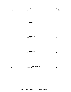| <b>Prefix</b>         | <b>Meaning</b>                        | <b>Page</b><br>23 - 24 |
|-----------------------|---------------------------------------|------------------------|
| non-                  | $\operatorname*{not}% \mathcal{M}(n)$ |                        |
| $\ldots$ .            |                                       |                        |
| $\cdots$              |                                       |                        |
| $\ddotsc$             |                                       |                        |
| $\cdots$              |                                       |                        |
| $\cdots$              |                                       |                        |
| .<br>.                |                                       |                        |
| $\cdots$              |                                       |                        |
|                       |                                       |                        |
|                       | <b>PREFIXES SET 7</b>                 |                        |
| over-                 | over, too much                        | $27\,$                 |
| $\cdots$              |                                       |                        |
| $\cdots$              |                                       |                        |
| $\ddotsc$             |                                       |                        |
| $\cdots$              |                                       |                        |
| .                     |                                       |                        |
| $\cdots$              |                                       |                        |
| $\cdots$              |                                       |                        |
| $\cdots$              |                                       |                        |
|                       | <b>PREFIXES SET 8</b>                 |                        |
| for-                  | away, off                             | 32                     |
| $\cdots$              |                                       |                        |
| $\cdots$              |                                       |                        |
| $\cdots$              |                                       |                        |
| $\ddotsc$             |                                       |                        |
| $\cdots$              |                                       |                        |
| $\cdots$              |                                       |                        |
| .                     |                                       |                        |
| $\cdots$              |                                       |                        |
| $\cdots$              |                                       |                        |
|                       | <b>PREFIXES SET 9</b>                 |                        |
| out-                  | out                                   | 35                     |
| $\cdots$              |                                       |                        |
| $\cdots$              |                                       |                        |
| $\cdots$              |                                       |                        |
| $\cdots$              |                                       |                        |
| $\sim$ $\sim$ $\sim$  |                                       |                        |
| $\ldots$ .            |                                       |                        |
| $\cdots$              |                                       |                        |
| $\ddotsc$             |                                       |                        |
| $\cdots$              |                                       |                        |
|                       | <b>PREFIXES SET 10</b>                |                        |
|                       | hundredth                             | 38                     |
| cent-                 |                                       |                        |
| $\cdots$              |                                       |                        |
| .                     |                                       |                        |
| $\cdot$ .             |                                       |                        |
| . .                   |                                       |                        |
| $\ddotsc$<br>$\cdots$ |                                       |                        |
| $\cdots$              |                                       |                        |
| $\cdots$              |                                       |                        |
|                       |                                       |                        |

## **CHAMELEON PREFIX FAMILIES**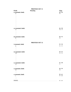## **PREFIXES SET 11**

| <b>Prefix</b>                     | <b>Meaning</b>         | Page                   |
|-----------------------------------|------------------------|------------------------|
| a (consonant)-family              |                        | $40 - 46$              |
| ac-                               |                        | 46                     |
| $\sim$ $\sim$ $\sim$              |                        |                        |
| .                                 |                        |                        |
| .                                 |                        |                        |
| .                                 |                        |                        |
| .<br>.                            |                        |                        |
| $\cdots$                          |                        |                        |
| .                                 |                        |                        |
| $\ddotsc$                         |                        |                        |
| $\sim$ $\sim$ $\sim$              |                        |                        |
| co (consonant)- family            |                        | $46 - 50$              |
| $co-$                             |                        | $46 - 47$              |
| $\cdots$                          |                        |                        |
| .                                 |                        |                        |
| .                                 |                        |                        |
| $\sim$ $\sim$ $\sim$              |                        |                        |
| di (consonant)- family            |                        | $50 - 52$              |
| $di-$                             |                        | 50                     |
| $\cdots$                          |                        |                        |
| $\cdots$                          |                        |                        |
|                                   | <b>PREFIXES SET 12</b> |                        |
| <i>i</i> (consonant)- family      |                        | $52 - 54$              |
|                                   |                        |                        |
| in-                               |                        | $52 - 53$              |
| $\ddotsc$                         |                        |                        |
| $\ddotsc$<br>$\sim$ $\sim$ $\sim$ |                        |                        |
|                                   |                        |                        |
| su (consonant)- family<br>sub-    |                        | $54 - 57$<br>$54 - 55$ |
|                                   |                        |                        |
| .<br>$\cdots$                     |                        |                        |
| $\ddotsc$                         |                        |                        |
| $\cdots$                          |                        |                        |
| $\cdots$                          |                        |                        |
| $\cdots$                          |                        |                        |
| sy (consonant)- family            |                        | $57 - 58$              |
| syl-                              |                        | 57                     |
| $\ddotsc$                         |                        |                        |
| $\ddotsc$                         |                        |                        |
| o (consonant)- family             |                        | $58 - 59$              |
| $ob-$                             |                        | 58                     |
| $\ddotsc$                         |                        |                        |
| $\cdots$                          |                        |                        |
|                                   |                        | $59 - 61$              |
| e (consonant)- family<br>$e-$     |                        | $59 - 60$              |
| $\sim$ $\sim$ $\sim$              |                        |                        |
| $\ldots$                          |                        |                        |
|                                   |                        |                        |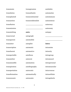| transmute      |
|----------------|
| translation    |
| transplanted   |
| transaction    |
| transfusion    |
| transmission   |
| transmitting   |
| transversal    |
| transparent    |
| transistor     |
| transcription  |
| translucent    |
| transportable  |
| transmitter    |
| transmissible  |
| transpiration  |
| transportation |
| transformation |
| transoceanic   |

transcontinental

transgression

transatlantic

transcendentalist

\_\_\_\_\_\_\_\_\_\_\_\_\_\_\_\_\_\_\_\_\_

\_\_\_\_\_\_\_\_\_\_\_\_\_\_\_\_\_\_\_\_\_

**auto-**

autograph

automobile

autopilot

automatic

automotive

autofocus

autocrat

automation

autobiography

autocratic

automatically

autonomic

autobahn

automatize

autoimmune

autonomous

autocracy

autonomy

\_\_\_\_\_\_\_\_\_\_\_\_\_\_\_\_\_\_\_\_\_

\_\_\_\_\_\_\_\_\_\_\_\_\_\_\_\_\_\_\_\_\_

autopsy

**intra-**

intrastate

intracity

intragroup

intramural

intrapersonal

intramuscular

intravenous

intracellular

intragalactic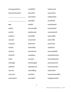| intrapopulation  | unskilled  | unlicensed      |
|------------------|------------|-----------------|
| intracontinental | unlawful   | uninsured       |
|                  | unwritten  | unbleached      |
|                  | unstable   | unrefined       |
| un-              | unable     | unashamed       |
| unfair           | unscramble | unattended      |
| unreal           | unpleasant | unconnected     |
| undress          | unselfish  | unsociable      |
| unused           | unnoticed  | unlovable       |
| unequal          | unbiased   | uninvited       |
| unlock           | unhealthy  | unethical       |
| unclear          | unwelcome  | unacceptable    |
| unearth          | unspoken   | unprofessional  |
| unfit            | uneaten    | uncoordinated   |
| unhappy          | undamaged  | unannounced     |
| unlikely         | unprepared | unconsciously   |
| uneven           | unyielding | unfamiliar      |
| unaware          | unaided    | unsportsmanlike |
| uncommon         | uncooked   | unappreciated   |